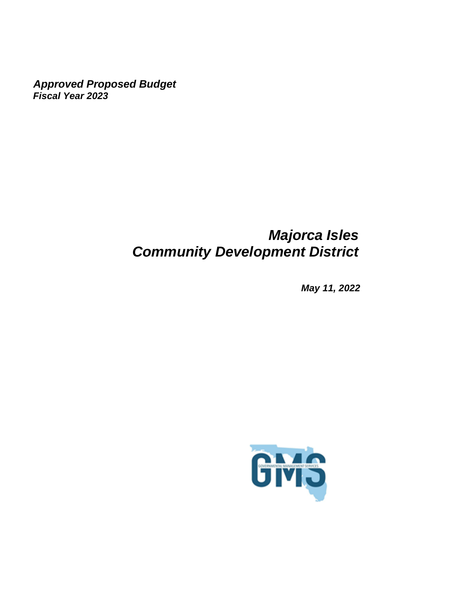*Approved Proposed Budget Fiscal Year 2023*

# *Majorca Isles Community Development District*

*May 11, 2022*

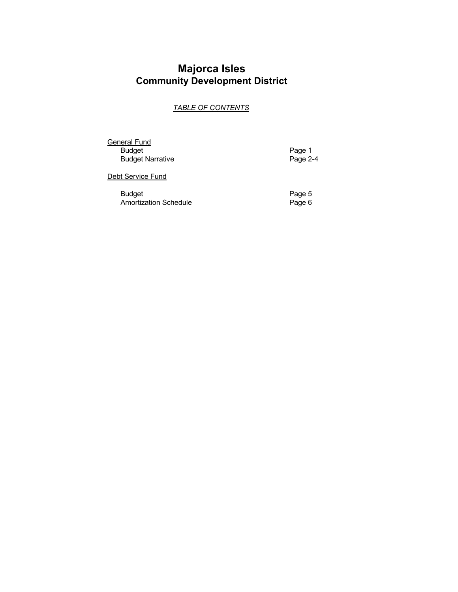# **Majorca Isles Community Development District**

# *TABLE OF CONTENTS*

**General Fund** Budget Page 1 Budget Narrative

Debt Service Fund

Budget<br>
Amortization Schedule<br>
Page 6 Amortization Schedule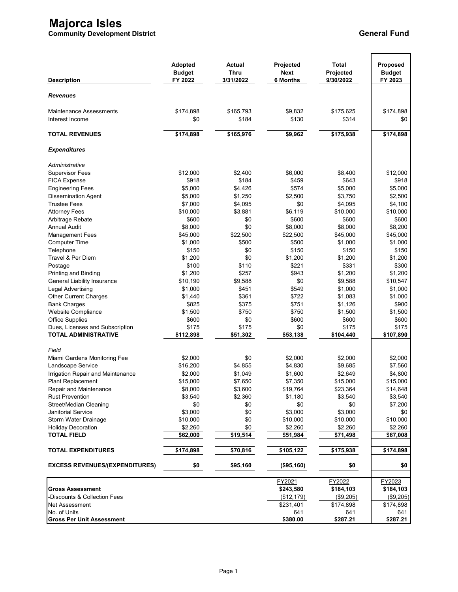# **Majorca Isles**

**Community Development District General Fund**

| <b>Description</b>                                | Adopted<br><b>Budget</b><br>FY 2022 | <b>Actual</b><br><b>Thru</b><br>3/31/2022 | Projected<br><b>Next</b><br><b>6 Months</b> | <b>Total</b><br>Projected<br>9/30/2022 | Proposed<br><b>Budget</b><br>FY 2023 |
|---------------------------------------------------|-------------------------------------|-------------------------------------------|---------------------------------------------|----------------------------------------|--------------------------------------|
| <b>Revenues</b>                                   |                                     |                                           |                                             |                                        |                                      |
| <b>Maintenance Assessments</b><br>Interest Income | \$174,898<br>\$0                    | \$165,793<br>\$184                        | \$9,832<br>\$130                            | \$175,625<br>\$314                     | \$174,898<br>\$0                     |
| <b>TOTAL REVENUES</b>                             | \$174,898                           | \$165,976                                 | \$9,962                                     | \$175,938                              | \$174,898                            |
| <b>Expenditures</b>                               |                                     |                                           |                                             |                                        |                                      |
| Administrative                                    |                                     |                                           |                                             |                                        |                                      |
| <b>Supervisor Fees</b>                            | \$12,000                            | \$2,400                                   | \$6,000                                     | \$8,400                                | \$12,000                             |
| <b>FICA Expense</b>                               | \$918                               | \$184                                     | \$459                                       | \$643                                  | \$918                                |
| <b>Engineering Fees</b>                           | \$5,000                             | \$4,426                                   | \$574                                       | \$5,000                                | \$5,000                              |
| <b>Dissemination Agent</b>                        | \$5,000                             | \$1,250                                   | \$2,500                                     | \$3,750                                | \$2,500                              |
| <b>Trustee Fees</b>                               | \$7,000                             | \$4,095                                   | \$0                                         | \$4,095                                | \$4,100                              |
| <b>Attorney Fees</b>                              | \$10,000                            | \$3,881                                   | \$6,119                                     | \$10,000                               | \$10,000                             |
| Arbitrage Rebate                                  | \$600                               | \$0                                       | \$600                                       | \$600                                  | \$600                                |
| <b>Annual Audit</b>                               | \$8,000                             | \$0                                       | \$8,000                                     | \$8,000                                | \$8,200                              |
| <b>Management Fees</b>                            | \$45,000                            | \$22,500                                  | \$22,500                                    | \$45,000                               | \$45,000                             |
| <b>Computer Time</b>                              | \$1,000                             | \$500                                     | \$500                                       | \$1,000                                | \$1,000                              |
| Telephone                                         | \$150                               | \$0                                       | \$150                                       | \$150                                  | \$150                                |
| Travel & Per Diem                                 | \$1,200                             | \$0                                       | \$1,200                                     | \$1,200                                | \$1,200                              |
|                                                   |                                     |                                           |                                             |                                        |                                      |
| Postage                                           | \$100                               | \$110                                     | \$221                                       | \$331                                  | \$300                                |
| Printing and Binding                              | \$1,200                             | \$257                                     | \$943                                       | \$1,200                                | \$1,200                              |
| <b>General Liability Insurance</b>                | \$10,190                            | \$9,588                                   | \$0                                         | \$9,588                                | \$10,547                             |
| Legal Advertising                                 | \$1,000                             | \$451                                     | \$549                                       | \$1,000                                | \$1,000                              |
| <b>Other Current Charges</b>                      | \$1,440                             | \$361                                     | \$722                                       | \$1,083                                | \$1,000                              |
| <b>Bank Charges</b>                               | \$825                               | \$375                                     | \$751                                       | \$1,126                                | \$900                                |
| Website Compliance                                | \$1,500                             | \$750                                     | \$750                                       | \$1,500                                | \$1,500                              |
| <b>Office Supplies</b>                            | \$600                               | \$0                                       | \$600                                       | \$600                                  | \$600                                |
| Dues, Licenses and Subscription                   | \$175                               | \$175                                     | \$0                                         | \$175                                  | \$175                                |
| <b>TOTAL ADMINISTRATIVE</b>                       | $\overline{$}112,898$               | \$51,302                                  | 553,138                                     | $\sqrt{$104,440}$                      | \$107,890                            |
| Field                                             |                                     |                                           |                                             |                                        |                                      |
| Miami Gardens Monitoring Fee                      | \$2,000                             | \$0                                       | \$2,000                                     | \$2,000                                | \$2,000                              |
| Landscape Service                                 | \$16,200                            | \$4,855                                   | \$4,830                                     | \$9,685                                | \$7,560                              |
| Irrigation Repair and Maintenance                 | \$2,000                             | \$1,049                                   | \$1,600                                     | \$2,649                                | \$4,800                              |
| <b>Plant Replacement</b>                          | \$15,000                            | \$7,650                                   | \$7,350                                     | \$15,000                               | \$15,000                             |
| Repair and Maintenance                            | \$8,000                             | \$3,600                                   | \$19,764                                    | \$23,364                               | \$14,648                             |
| <b>Rust Prevention</b>                            | \$3,540                             | \$2,360                                   | \$1,180                                     | \$3,540                                | \$3,540                              |
| Street/Median Cleaning                            | \$0                                 | \$0                                       | \$0                                         | \$0                                    | \$7,200                              |
| Janitorial Service                                | \$3,000                             | \$0                                       | \$3,000                                     | \$3,000                                | \$0                                  |
| Storm Water Drainage                              | \$10,000                            | \$0                                       | \$10,000                                    | \$10,000                               | \$10,000                             |
| <b>Holiday Decoration</b>                         | \$2,260                             | \$0                                       | \$2,260                                     | \$2,260                                | \$2,260                              |
| <b>TOTAL FIELD</b>                                | \$62,000                            | \$19,514                                  | \$51,984                                    | \$71,498                               | \$67,008                             |
| <b>TOTAL EXPENDITURES</b>                         | \$174,898                           | \$70,816                                  | \$105,122                                   | \$175,938                              | \$174,898                            |
| <b>EXCESS REVENUES/(EXPENDITURES)</b>             | \$0                                 | \$95,160                                  | (\$95,160)                                  | \$0                                    | \$0                                  |
|                                                   |                                     |                                           |                                             |                                        |                                      |
|                                                   |                                     |                                           | FY2021                                      | FY2022                                 | FY2023                               |
| <b>Gross Assessment</b>                           |                                     |                                           | \$243,580                                   | \$184,103                              | \$184,103                            |
| Discounts & Collection Fees                       |                                     |                                           | (\$12,179)                                  | (\$9,205)                              | (\$9,205)                            |
| Net Assessment                                    |                                     |                                           | \$231,401                                   | \$174,898                              | \$174,898                            |
| No. of Units                                      |                                     |                                           | 641                                         | 641                                    | 641                                  |
| <b>Gross Per Unit Assessment</b>                  |                                     |                                           | \$380.00                                    | \$287.21                               | \$287.21                             |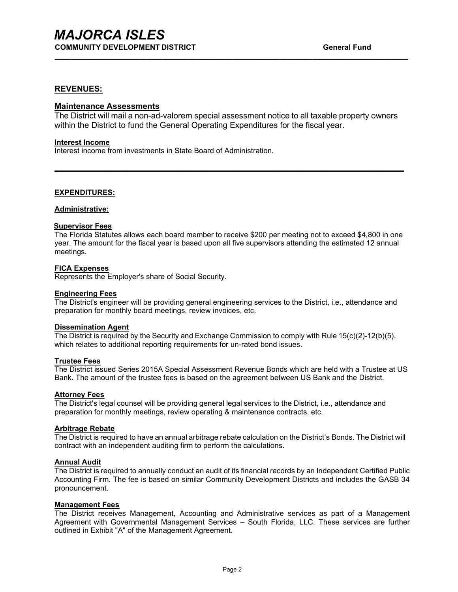### **REVENUES:**

### **Maintenance Assessments**

The District will mail a non-ad-valorem special assessment notice to all taxable property owners within the District to fund the General Operating Expenditures for the fiscal year.

**\_\_\_\_\_\_\_\_\_\_\_\_\_\_\_\_\_\_\_\_\_\_\_\_\_\_\_\_\_\_\_\_\_\_\_\_\_\_\_\_\_\_\_\_\_\_\_\_\_\_\_\_\_\_\_\_\_\_\_\_\_\_\_\_\_\_\_\_\_\_\_\_\_\_\_\_\_\_\_\_\_\_\_\_**

**\_\_\_\_\_\_\_\_\_\_\_\_\_\_\_\_\_\_\_\_\_\_\_\_\_\_\_\_\_\_\_\_\_\_\_\_\_\_\_\_\_\_\_\_\_\_\_\_\_\_\_\_\_\_\_\_\_\_\_\_\_\_\_\_\_\_\_\_\_\_\_\_\_\_\_\_\_\_\_\_\_\_\_\_\_**

#### **Interest Income**

Interest income from investments in State Board of Administration.

#### **EXPENDITURES:**

#### **Administrative:**

#### **Supervisor Fees**

The Florida Statutes allows each board member to receive \$200 per meeting not to exceed \$4,800 in one year. The amount for the fiscal year is based upon all five supervisors attending the estimated 12 annual meetings.

#### **FICA Expenses**

Represents the Employer's share of Social Security.

#### **Engineering Fees**

The District's engineer will be providing general engineering services to the District, i.e., attendance and preparation for monthly board meetings, review invoices, etc.

#### **Dissemination Agent**

The District is required by the Security and Exchange Commission to comply with Rule 15(c)(2)-12(b)(5), which relates to additional reporting requirements for un-rated bond issues.

#### **Trustee Fees**

The District issued Series 2015A Special Assessment Revenue Bonds which are held with a Trustee at US Bank. The amount of the trustee fees is based on the agreement between US Bank and the District.

#### **Attorney Fees**

The District's legal counsel will be providing general legal services to the District, i.e., attendance and preparation for monthly meetings, review operating & maintenance contracts, etc.

#### **Arbitrage Rebate**

The District is required to have an annual arbitrage rebate calculation on the District's Bonds. The District will contract with an independent auditing firm to perform the calculations.

#### **Annual Audit**

The District is required to annually conduct an audit of its financial records by an Independent Certified Public Accounting Firm. The fee is based on similar Community Development Districts and includes the GASB 34 pronouncement.

#### **Management Fees**

The District receives Management, Accounting and Administrative services as part of a Management Agreement with Governmental Management Services – South Florida, LLC. These services are further outlined in Exhibit "A" of the Management Agreement.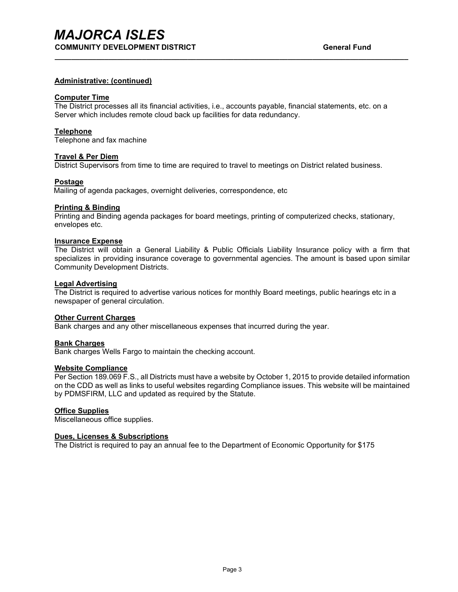#### **Administrative: (continued)**

#### **Computer Time**

The District processes all its financial activities, i.e., accounts payable, financial statements, etc. on a Server which includes remote cloud back up facilities for data redundancy.

**\_\_\_\_\_\_\_\_\_\_\_\_\_\_\_\_\_\_\_\_\_\_\_\_\_\_\_\_\_\_\_\_\_\_\_\_\_\_\_\_\_\_\_\_\_\_\_\_\_\_\_\_\_\_\_\_\_\_\_\_\_\_\_\_\_\_\_\_\_\_\_\_\_\_\_\_\_\_\_\_\_\_\_\_\_**

#### **Telephone**

Telephone and fax machine

#### **Travel & Per Diem**

District Supervisors from time to time are required to travel to meetings on District related business.

#### **Postage**

Mailing of agenda packages, overnight deliveries, correspondence, etc

#### **Printing & Binding**

Printing and Binding agenda packages for board meetings, printing of computerized checks, stationary, envelopes etc.

#### **Insurance Expense**

The District will obtain a General Liability & Public Officials Liability Insurance policy with a firm that specializes in providing insurance coverage to governmental agencies. The amount is based upon similar Community Development Districts.

#### **Legal Advertising**

The District is required to advertise various notices for monthly Board meetings, public hearings etc in a newspaper of general circulation.

#### **Other Current Charges**

Bank charges and any other miscellaneous expenses that incurred during the year.

#### **Bank Charges**

Bank charges Wells Fargo to maintain the checking account.

#### **Website Compliance**

Per Section 189.069 F.S., all Districts must have a website by October 1, 2015 to provide detailed information on the CDD as well as links to useful websites regarding Compliance issues. This website will be maintained by PDMSFIRM, LLC and updated as required by the Statute.

#### **Office Supplies**

Miscellaneous office supplies.

### **Dues, Licenses & Subscriptions**

The District is required to pay an annual fee to the Department of Economic Opportunity for \$175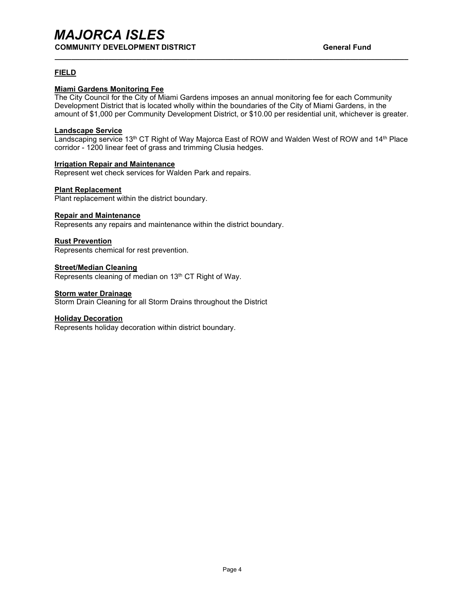# *MAJORCA ISLES* **COMMUNITY DEVELOPMENT DISTRICT COMMUNITY DEVELOPMENT DISTRICT**

### **FIELD**

## **Miami Gardens Monitoring Fee**

The City Council for the City of Miami Gardens imposes an annual monitoring fee for each Community Development District that is located wholly within the boundaries of the City of Miami Gardens, in the amount of \$1,000 per Community Development District, or \$10.00 per residential unit, whichever is greater.

**\_\_\_\_\_\_\_\_\_\_\_\_\_\_\_\_\_\_\_\_\_\_\_\_\_\_\_\_\_\_\_\_\_\_\_\_\_\_\_\_\_\_\_\_\_\_\_\_\_\_\_\_\_\_\_\_\_\_\_\_\_\_\_\_\_\_\_\_\_\_\_\_\_\_\_\_\_\_\_\_\_\_\_\_\_**

#### **Landscape Service**

Landscaping service 13<sup>th</sup> CT Right of Way Majorca East of ROW and Walden West of ROW and 14<sup>th</sup> Place corridor - 1200 linear feet of grass and trimming Clusia hedges.

#### **Irrigation Repair and Maintenance**

Represent wet check services for Walden Park and repairs.

#### **Plant Replacement**

Plant replacement within the district boundary.

#### **Repair and Maintenance**

Represents any repairs and maintenance within the district boundary.

#### **Rust Prevention**

Represents chemical for rest prevention.

#### **Street/Median Cleaning**

Represents cleaning of median on 13<sup>th</sup> CT Right of Way.

#### **Storm water Drainage**

Storm Drain Cleaning for all Storm Drains throughout the District

#### **Holiday Decoration**

Represents holiday decoration within district boundary.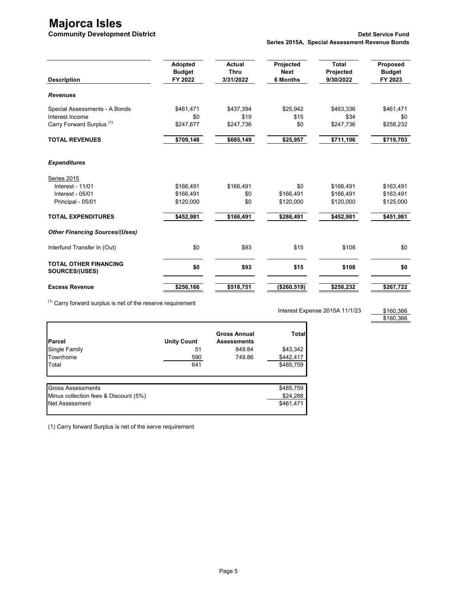# **Majorca Isles**

|                                                | Adopted       | <b>Actual</b> | Projected       | <b>Total</b> | Proposed      |
|------------------------------------------------|---------------|---------------|-----------------|--------------|---------------|
|                                                | <b>Budget</b> | <b>Thru</b>   | <b>Next</b>     | Projected    | <b>Budget</b> |
| <b>Description</b>                             | FY 2022       | 3/31/2022     | <b>6 Months</b> | 9/30/2022    | FY 2023       |
| <b>Revenues</b>                                |               |               |                 |              |               |
| Special Assessments - A Bonds                  | \$461,471     | \$437,394     | \$25,942        | \$463,336    | \$461,471     |
| Interest Income                                | \$0           | \$19          | \$15            | \$34         | \$0           |
| Carry Forward Surplus <sup>(1)</sup>           | \$247,677     | \$247,736     | \$0             | \$247,736    | \$258,232     |
| <b>TOTAL REVENUES</b>                          | \$709,148     | \$685,149     | \$25,957        | \$711,106    | \$719,703     |
| <b>Expenditures</b>                            |               |               |                 |              |               |
| Series 2015                                    |               |               |                 |              |               |
| <b>Interest - 11/01</b>                        | \$166,491     | \$166,491     | \$0             | \$166,491    | \$163,491     |
| Interest - 05/01                               | \$166.491     | \$0           | \$166.491       | \$166.491    | \$163,491     |
| Principal - 05/01                              | \$120,000     | \$0           | \$120,000       | \$120,000    | \$125,000     |
| <b>TOTAL EXPENDITURES</b>                      | \$452,981     | \$166,491     | \$286,491       | \$452,981    | \$451,981     |
| <b>Other Financing Sources/(Uses)</b>          |               |               |                 |              |               |
| Interfund Transfer In (Out)                    | \$0           | \$93          | \$15            | \$108        | \$0           |
| <b>TOTAL OTHER FINANCING</b><br>SOURCES/(USES) | \$0           | \$93          | \$15            | \$108        | \$0           |
| <b>Excess Revenue</b>                          | \$256,166     | \$518,751     | (\$260,519)     | \$258,232    | \$267,722     |

 $(1)$  Carry forward surplus is net of the reserve requirement

Interest Expense 2015A 11/1/23

\$160,366 \$160,366

| Parcel                                | <b>Unity Count</b> | <b>Gross Annual</b><br><b>Assessments</b> | <b>Total</b><br>\$43,342 |  |
|---------------------------------------|--------------------|-------------------------------------------|--------------------------|--|
| Single Family                         | 51                 | 849.84                                    |                          |  |
| Townhome                              | 590                | 749.86                                    | \$442,417                |  |
| Total                                 | 641                |                                           | \$485,759                |  |
| <b>Gross Assessments</b>              |                    |                                           | \$485,759                |  |
| Minus collection fees & Discount (5%) |                    |                                           | \$24,288                 |  |
| Net Assessment                        |                    |                                           | \$461,471                |  |

(1) Carry forward Surplus is net of the serve requirement